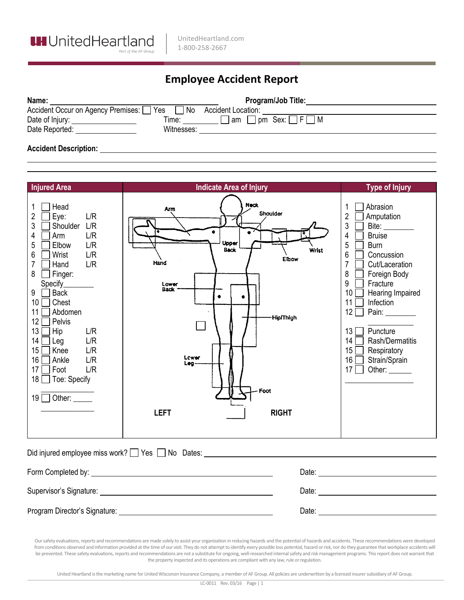

## **Employee Accident Report**

| Name:                                  | <b>Program/Job Title:</b>                    |
|----------------------------------------|----------------------------------------------|
| Accident Occur on Agency Premises: Yes | No<br><b>Accident Location:</b>              |
| Date of Injury:<br>Time:               | $\lceil$ am $\Box$ pm Sex: $\Box$ F $\Box$ M |
| Witnesses:<br>Date Reported:           |                                              |
|                                        |                                              |

## **Accident Description:**

| <b>Injured Area</b>                                                                                                                                                                                                                                                                                                                                                                                                                                        | <b>Indicate Area of Injury</b>                                                                                                                                                                      | <b>Type of Injury</b>                                                                                                                                                                                                                                                                                                                                                                                                                                                         |  |
|------------------------------------------------------------------------------------------------------------------------------------------------------------------------------------------------------------------------------------------------------------------------------------------------------------------------------------------------------------------------------------------------------------------------------------------------------------|-----------------------------------------------------------------------------------------------------------------------------------------------------------------------------------------------------|-------------------------------------------------------------------------------------------------------------------------------------------------------------------------------------------------------------------------------------------------------------------------------------------------------------------------------------------------------------------------------------------------------------------------------------------------------------------------------|--|
| 1<br>Head<br>$\overline{2}$<br>L/R<br>Eye:<br>3<br>L/R<br>Shoulder<br>4<br>L/R<br>Arm<br>5<br>L/R<br>Elbow<br>6<br>L/R<br>Wrist<br>$\overline{7}$<br>Hand<br>L/R<br>8<br>Finger:<br>Specify_<br>9<br><b>Back</b><br>10 <sup>1</sup><br>Chest<br>11<br>Abdomen<br>12 <sup>°</sup><br>Pelvis<br>13<br>Hip<br>L/R<br>14<br>L/R<br>Leg<br>15 <sup>15</sup><br>L/R<br>Knee<br>16<br>L/R<br>Ankle<br>17<br>Foot<br>L/R<br>18 □ Toe: Specify<br>19 □ Other: _____ | <b>Neck</b><br>Arm<br>Shoulder<br>$\bullet$<br>$\bullet$<br>Upper<br><b>Back</b><br>Hand<br>Lower<br><b>Back</b><br>$\bullet$<br>-Hip/Thigh<br>Lower<br>Leg-<br>Foot<br><b>LEFT</b><br><b>RIGHT</b> | Abrasion<br>$\overline{2}$<br>Amputation<br>3<br>Bite: ________<br>$\overline{4}$<br><b>Bruise</b><br>5<br><b>Burn</b><br>Wrist<br>6<br>Concussion<br>Elbow<br>$\overline{7}$<br>Cut/Laceration<br>8<br>Foreign Body<br>9<br>Fracture<br>10<br>Hearing Impaired<br>11<br>Infection<br>12<br>Pain: $\_\_\_\_\_\_\_\_\_\$<br>Puncture<br>13 <sup>1</sup><br>14<br>Rash/Dermatitis<br>$15\lceil$<br>Respiratory<br>$16\Box$<br>Strain/Sprain<br>17 <sup>1</sup><br>Other: $\_\_$ |  |
| Did injured employee miss work? These Theodores: Theodores: Theodores: Theodores: Theodores Science Contractor                                                                                                                                                                                                                                                                                                                                             |                                                                                                                                                                                                     |                                                                                                                                                                                                                                                                                                                                                                                                                                                                               |  |
|                                                                                                                                                                                                                                                                                                                                                                                                                                                            |                                                                                                                                                                                                     |                                                                                                                                                                                                                                                                                                                                                                                                                                                                               |  |
| Supervisor's Signature: Management of the Supervisor's Signature:                                                                                                                                                                                                                                                                                                                                                                                          |                                                                                                                                                                                                     |                                                                                                                                                                                                                                                                                                                                                                                                                                                                               |  |
|                                                                                                                                                                                                                                                                                                                                                                                                                                                            |                                                                                                                                                                                                     |                                                                                                                                                                                                                                                                                                                                                                                                                                                                               |  |

Our safety evaluations, reports and recommendations are made solely to assist your organization in reducing hazards and the potential of hazards and accidents. These recommendations were developed from conditions observed and information provided at the time of our visit. They do not attempt to identify every possible loss potential, hazard orrisk, nor do they guarantee that workplace accidents will be prevented. These safety evaluations, reports and recommendations are not a substitute for ongoing, well-researched internal safety and risk management programs. This report does not warrant that the property inspected and its operations are compliant with any law, rule or regulation.

United Heartland is the marketing name for United Wisconsin Insurance Company, a member of AF Group. All policies are underwritten by a licensed insurer subsidiary of AF Group.